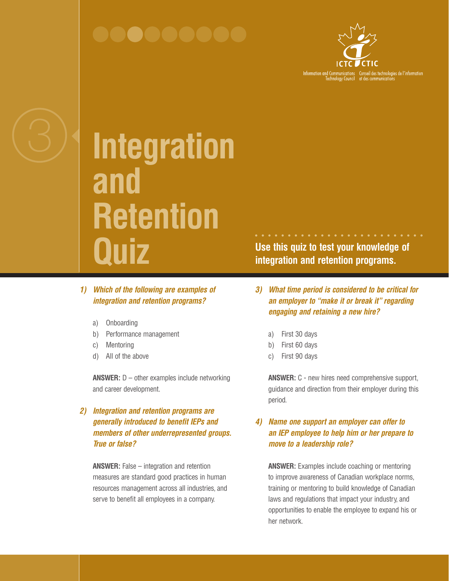

**Integration and Retention Quiz**

- *1) Which of the following are examples of integration and retention programs?*
	- a) Onboarding
	- b) Performance management
	- c) Mentoring
	- d) All of the above

**ANSWER:** D – other examples include networking and career development.

# *2) Integration and retention programs are generally introduced to benefit IEPs and members of other underrepresented groups. True or false?*

**ANSWER:** False – integration and retention measures are standard good practices in human resources management across all industries, and serve to benefit all employees in a company.

**Use this quiz to test your knowledge of integration and retention programs.**

- *3) What time period is considered to be critical for an employer to "make it or break it" regarding engaging and retaining a new hire?*
	- a) First 30 days
	- b) First 60 days
	- c) First 90 days

**ANSWER:** C - new hires need comprehensive support, guidance and direction from their employer during this period.

## *4) Name one support an employer can offer to an IEP employee to help him or her prepare to move to a leadership role?*

**ANSWER:** Examples include coaching or mentoring to improve awareness of Canadian workplace norms, training or mentoring to build knowledge of Canadian laws and regulations that impact your industry, and opportunities to enable the employee to expand his or her network.